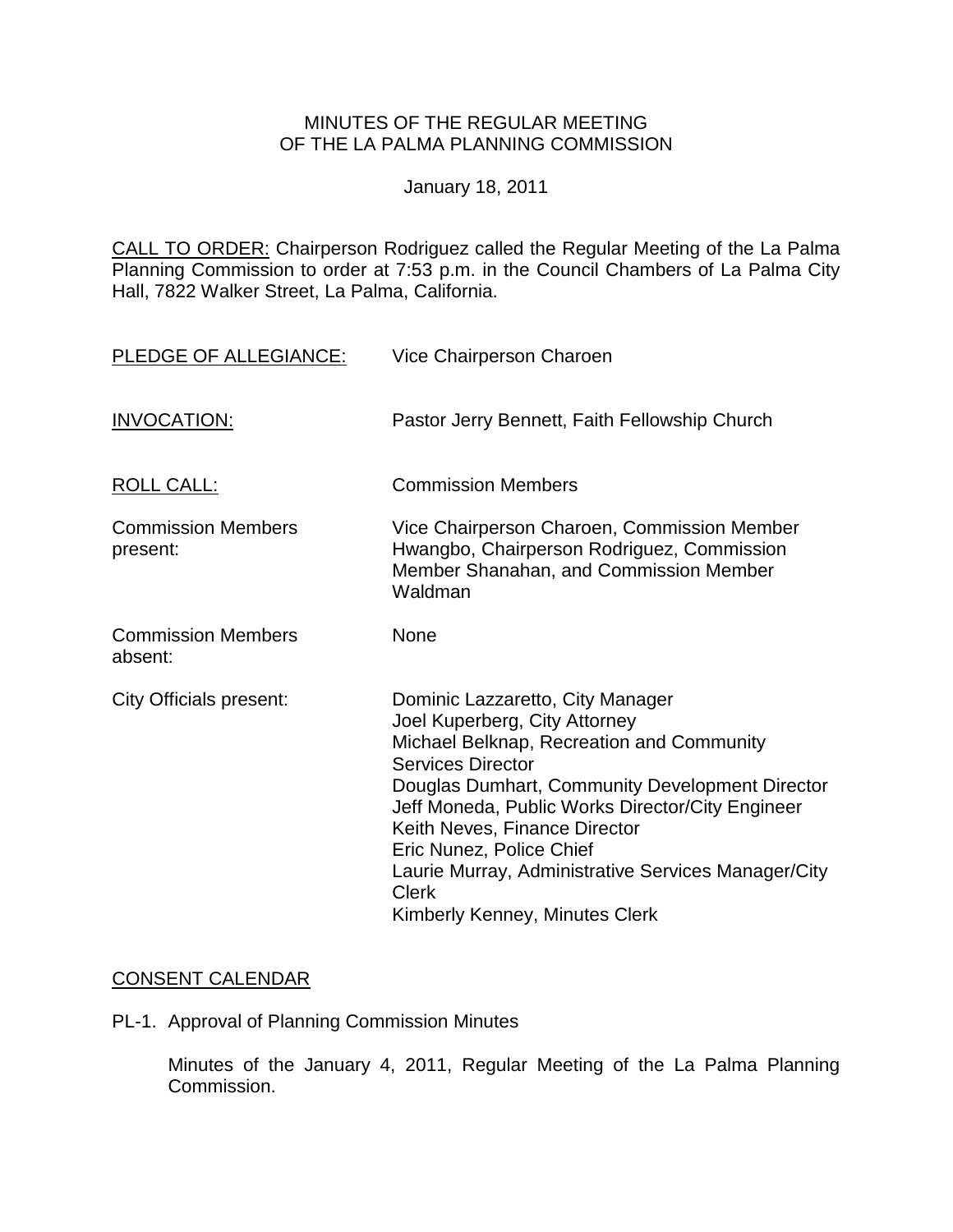## MINUTES OF THE REGULAR MEETING OF THE LA PALMA PLANNING COMMISSION

January 18, 2011

CALL TO ORDER: Chairperson [Rodriguez called the Regular Meeting of the La Palma](http://lapalma.granicus.com/MediaPlayerFrameHandler.php?view_id=&clip_id=545&meta_id=69517)  [Planning Commission to order at 7:53 p.m. in the Council Chambers of La Palma City](http://lapalma.granicus.com/MediaPlayerFrameHandler.php?view_id=&clip_id=545&meta_id=69517)  [Hall, 7822 Walker Street, La Palma, California.](http://lapalma.granicus.com/MediaPlayerFrameHandler.php?view_id=&clip_id=545&meta_id=69517) 

| PLEDGE OF ALLEGIANCE:                 | Vice Chairperson Charoen                                                                                                                                                                                                                                                                                                                                                                                                |
|---------------------------------------|-------------------------------------------------------------------------------------------------------------------------------------------------------------------------------------------------------------------------------------------------------------------------------------------------------------------------------------------------------------------------------------------------------------------------|
| <b>INVOCATION:</b>                    | Pastor Jerry Bennett, Faith Fellowship Church                                                                                                                                                                                                                                                                                                                                                                           |
| <b>ROLL CALL:</b>                     | <b>Commission Members</b>                                                                                                                                                                                                                                                                                                                                                                                               |
| <b>Commission Members</b><br>present: | Vice Chairperson Charoen, Commission Member<br>Hwangbo, Chairperson Rodriguez, Commission<br>Member Shanahan, and Commission Member<br>Waldman                                                                                                                                                                                                                                                                          |
| <b>Commission Members</b><br>absent:  | None                                                                                                                                                                                                                                                                                                                                                                                                                    |
| <b>City Officials present:</b>        | Dominic Lazzaretto, City Manager<br>Joel Kuperberg, City Attorney<br>Michael Belknap, Recreation and Community<br><b>Services Director</b><br>Douglas Dumhart, Community Development Director<br>Jeff Moneda, Public Works Director/City Engineer<br>Keith Neves, Finance Director<br>Eric Nunez, Police Chief<br>Laurie Murray, Administrative Services Manager/City<br><b>Clerk</b><br>Kimberly Kenney, Minutes Clerk |

# [CONSENT CALENDAR](http://lapalma.granicus.com/MediaPlayerFrameHandler.php?view_id=&clip_id=545&meta_id=69629)

PL-1. Approval of Planning Commission Minutes

Minutes of the January 4, 2011, Regular Meeting of the La Palma Planning Commission.